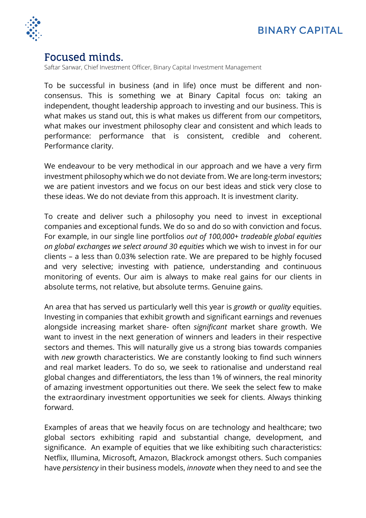

## Focused minds.

Saftar Sarwar, Chief Investment Officer, Binary Capital Investment Management

To be successful in business (and in life) once must be different and nonconsensus. This is something we at Binary Capital focus on: taking an independent, thought leadership approach to investing and our business. This is what makes us stand out, this is what makes us different from our competitors, what makes our investment philosophy clear and consistent and which leads to performance: performance that is consistent, credible and coherent. Performance clarity.

We endeavour to be very methodical in our approach and we have a very firm investment philosophy which we do not deviate from. We are long-term investors; we are patient investors and we focus on our best ideas and stick very close to these ideas. We do not deviate from this approach. It is investment clarity.

To create and deliver such a philosophy you need to invest in exceptional companies and exceptional funds. We do so and do so with conviction and focus. For example, in our single line portfolios *out of 100,000+ tradeable global equities on global exchanges we select around 30 equities* which we wish to invest in for our clients – a less than 0.03% selection rate. We are prepared to be highly focused and very selective; investing with patience, understanding and continuous monitoring of events. Our aim is always to make real gains for our clients in absolute terms, not relative, but absolute terms. Genuine gains.

An area that has served us particularly well this year is *growth* or *quality* equities. Investing in companies that exhibit growth and significant earnings and revenues alongside increasing market share- often *significant* market share growth. We want to invest in the next generation of winners and leaders in their respective sectors and themes. This will naturally give us a strong bias towards companies with *new* growth characteristics. We are constantly looking to find such winners and real market leaders. To do so, we seek to rationalise and understand real global changes and differentiators, the less than 1% of winners, the real minority of amazing investment opportunities out there. We seek the select few to make the extraordinary investment opportunities we seek for clients. Always thinking forward.

Examples of areas that we heavily focus on are technology and healthcare; two global sectors exhibiting rapid and substantial change, development, and significance. An example of equities that we like exhibiting such characteristics: Netflix, Illumina, Microsoft, Amazon, Blackrock amongst others. Such companies have *persistency* in their business models, *innovate* when they need to and see the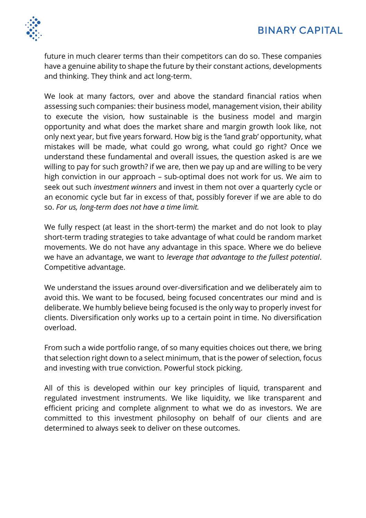

future in much clearer terms than their competitors can do so. These companies have a genuine ability to shape the future by their constant actions, developments and thinking. They think and act long-term.

We look at many factors, over and above the standard financial ratios when assessing such companies: their business model, management vision, their ability to execute the vision, how sustainable is the business model and margin opportunity and what does the market share and margin growth look like, not only next year, but five years forward. How big is the 'land grab' opportunity, what mistakes will be made, what could go wrong, what could go right? Once we understand these fundamental and overall issues, the question asked is are we willing to pay for such growth? if we are, then we pay up and are willing to be very high conviction in our approach – sub-optimal does not work for us. We aim to seek out such *investment winners* and invest in them not over a quarterly cycle or an economic cycle but far in excess of that, possibly forever if we are able to do so. *For us, long-term does not have a time limit.* 

We fully respect (at least in the short-term) the market and do not look to play short-term trading strategies to take advantage of what could be random market movements. We do not have any advantage in this space. Where we do believe we have an advantage, we want to *leverage that advantage to the fullest potential*. Competitive advantage.

We understand the issues around over-diversification and we deliberately aim to avoid this. We want to be focused, being focused concentrates our mind and is deliberate. We humbly believe being focused is the only way to properly invest for clients. Diversification only works up to a certain point in time. No diversification overload.

From such a wide portfolio range, of so many equities choices out there, we bring that selection right down to a select minimum, that is the power of selection, focus and investing with true conviction. Powerful stock picking.

All of this is developed within our key principles of liquid, transparent and regulated investment instruments. We like liquidity, we like transparent and efficient pricing and complete alignment to what we do as investors. We are committed to this investment philosophy on behalf of our clients and are determined to always seek to deliver on these outcomes.